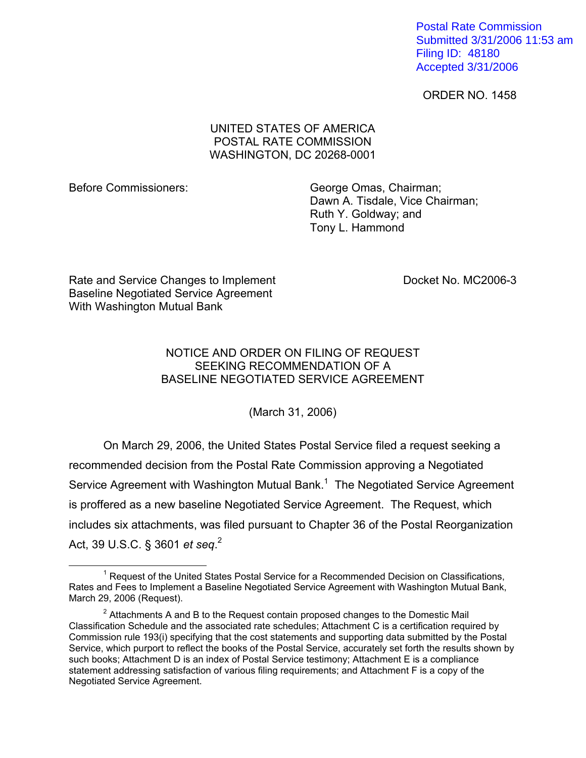Postal Rate Commission Submitted 3/31/2006 11:53 am Filing ID: 48180 Accepted 3/31/2006

ORDER NO. 1458

## UNITED STATES OF AMERICA POSTAL RATE COMMISSION WASHINGTON, DC 20268-0001

Before Commissioners: George Omas, Chairman; Dawn A. Tisdale, Vice Chairman; Ruth Y. Goldway; and Tony L. Hammond

Rate and Service Changes to Implement Docket No. MC2006-3 Baseline Negotiated Service Agreement With Washington Mutual Bank

## NOTICE AND ORDER ON FILING OF REQUEST SEEKING RECOMMENDATION OF A BASELINE NEGOTIATED SERVICE AGREEMENT

(March 31, 2006)

On March 29, 2006, the United States Postal Service filed a request seeking a recommended decision from the Postal Rate Commission approving a Negotiated Service Agreement with Washington Mutual Bank. $1$  The Negotiated Service Agreement is proffered as a new baseline Negotiated Service Agreement. The Request, which includes six attachments, was filed pursuant to Chapter 36 of the Postal Reorganization Act, 39 U.S.C. § 3601 *et seq*. 2

 $\overline{\phantom{a}}$  1  $1$  Request of the United States Postal Service for a Recommended Decision on Classifications, Rates and Fees to Implement a Baseline Negotiated Service Agreement with Washington Mutual Bank, March 29, 2006 (Request).

 $2$  Attachments A and B to the Request contain proposed changes to the Domestic Mail Classification Schedule and the associated rate schedules; Attachment C is a certification required by Commission rule 193(i) specifying that the cost statements and supporting data submitted by the Postal Service, which purport to reflect the books of the Postal Service, accurately set forth the results shown by such books; Attachment D is an index of Postal Service testimony; Attachment E is a compliance statement addressing satisfaction of various filing requirements; and Attachment F is a copy of the Negotiated Service Agreement.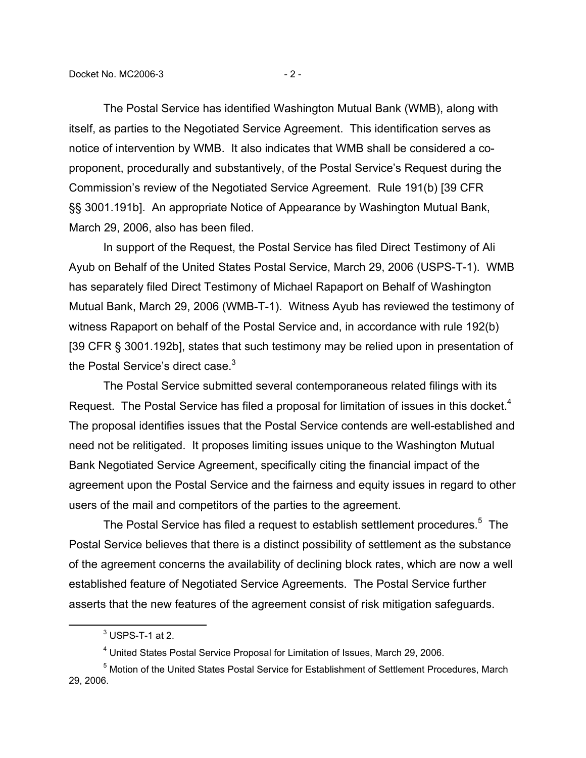The Postal Service has identified Washington Mutual Bank (WMB), along with itself, as parties to the Negotiated Service Agreement. This identification serves as notice of intervention by WMB. It also indicates that WMB shall be considered a coproponent, procedurally and substantively, of the Postal Service's Request during the Commission's review of the Negotiated Service Agreement. Rule 191(b) [39 CFR §§ 3001.191b]. An appropriate Notice of Appearance by Washington Mutual Bank, March 29, 2006, also has been filed.

In support of the Request, the Postal Service has filed Direct Testimony of Ali Ayub on Behalf of the United States Postal Service, March 29, 2006 (USPS-T-1). WMB has separately filed Direct Testimony of Michael Rapaport on Behalf of Washington Mutual Bank, March 29, 2006 (WMB-T-1). Witness Ayub has reviewed the testimony of witness Rapaport on behalf of the Postal Service and, in accordance with rule 192(b) [39 CFR § 3001.192b], states that such testimony may be relied upon in presentation of the Postal Service's direct case.<sup>3</sup>

The Postal Service submitted several contemporaneous related filings with its Request. The Postal Service has filed a proposal for limitation of issues in this docket.<sup>4</sup> The proposal identifies issues that the Postal Service contends are well-established and need not be relitigated. It proposes limiting issues unique to the Washington Mutual Bank Negotiated Service Agreement, specifically citing the financial impact of the agreement upon the Postal Service and the fairness and equity issues in regard to other users of the mail and competitors of the parties to the agreement.

The Postal Service has filed a request to establish settlement procedures.<sup>5</sup> The Postal Service believes that there is a distinct possibility of settlement as the substance of the agreement concerns the availability of declining block rates, which are now a well established feature of Negotiated Service Agreements. The Postal Service further asserts that the new features of the agreement consist of risk mitigation safeguards.

 $\overline{\phantom{a}}$  3  $3$  USPS-T-1 at 2.

<sup>&</sup>lt;sup>4</sup> United States Postal Service Proposal for Limitation of Issues, March 29, 2006.

<sup>&</sup>lt;sup>5</sup> Motion of the United States Postal Service for Establishment of Settlement Procedures, March 29, 2006.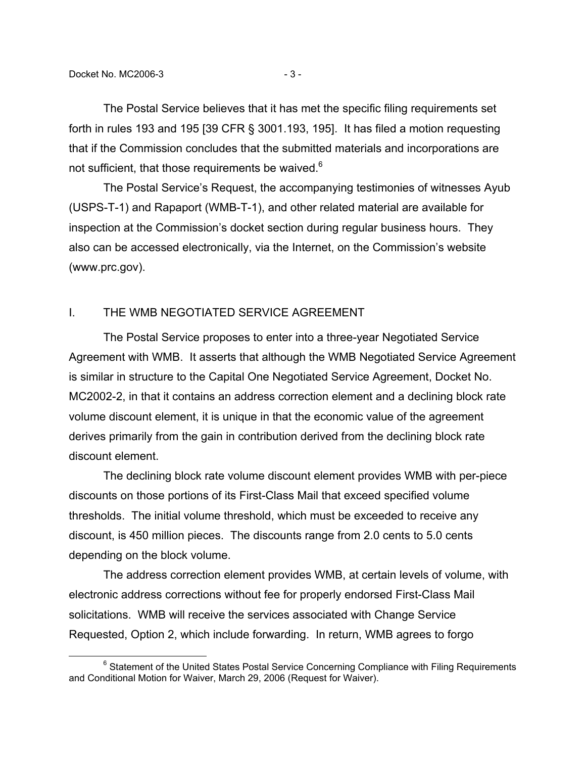The Postal Service believes that it has met the specific filing requirements set forth in rules 193 and 195 [39 CFR § 3001.193, 195]. It has filed a motion requesting that if the Commission concludes that the submitted materials and incorporations are not sufficient, that those requirements be waived.<sup>6</sup>

The Postal Service's Request, the accompanying testimonies of witnesses Ayub (USPS-T-1) and Rapaport (WMB-T-1), and other related material are available for inspection at the Commission's docket section during regular business hours. They also can be accessed electronically, via the Internet, on the Commission's website (www.prc.gov).

## I. THE WMB NEGOTIATED SERVICE AGREEMENT

The Postal Service proposes to enter into a three-year Negotiated Service Agreement with WMB. It asserts that although the WMB Negotiated Service Agreement is similar in structure to the Capital One Negotiated Service Agreement, Docket No. MC2002-2, in that it contains an address correction element and a declining block rate volume discount element, it is unique in that the economic value of the agreement derives primarily from the gain in contribution derived from the declining block rate discount element.

The declining block rate volume discount element provides WMB with per-piece discounts on those portions of its First-Class Mail that exceed specified volume thresholds. The initial volume threshold, which must be exceeded to receive any discount, is 450 million pieces. The discounts range from 2.0 cents to 5.0 cents depending on the block volume.

The address correction element provides WMB, at certain levels of volume, with electronic address corrections without fee for properly endorsed First-Class Mail solicitations. WMB will receive the services associated with Change Service Requested, Option 2, which include forwarding. In return, WMB agrees to forgo

 <sup>6</sup>  $6$  Statement of the United States Postal Service Concerning Compliance with Filing Requirements and Conditional Motion for Waiver, March 29, 2006 (Request for Waiver).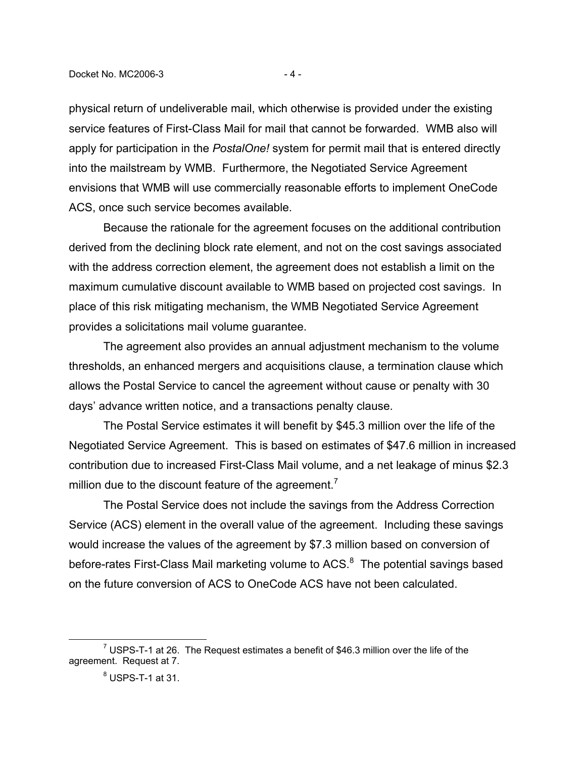physical return of undeliverable mail, which otherwise is provided under the existing service features of First-Class Mail for mail that cannot be forwarded. WMB also will apply for participation in the *PostalOne!* system for permit mail that is entered directly into the mailstream by WMB. Furthermore, the Negotiated Service Agreement envisions that WMB will use commercially reasonable efforts to implement OneCode ACS, once such service becomes available.

Because the rationale for the agreement focuses on the additional contribution derived from the declining block rate element, and not on the cost savings associated with the address correction element, the agreement does not establish a limit on the maximum cumulative discount available to WMB based on projected cost savings. In place of this risk mitigating mechanism, the WMB Negotiated Service Agreement provides a solicitations mail volume guarantee.

The agreement also provides an annual adjustment mechanism to the volume thresholds, an enhanced mergers and acquisitions clause, a termination clause which allows the Postal Service to cancel the agreement without cause or penalty with 30 days' advance written notice, and a transactions penalty clause.

The Postal Service estimates it will benefit by \$45.3 million over the life of the Negotiated Service Agreement. This is based on estimates of \$47.6 million in increased contribution due to increased First-Class Mail volume, and a net leakage of minus \$2.3 million due to the discount feature of the agreement.<sup>7</sup>

The Postal Service does not include the savings from the Address Correction Service (ACS) element in the overall value of the agreement. Including these savings would increase the values of the agreement by \$7.3 million based on conversion of before-rates First-Class Mail marketing volume to ACS. $8$  The potential savings based on the future conversion of ACS to OneCode ACS have not been calculated.

 $\overline{7}$  $^7$  USPS-T-1 at 26. The Request estimates a benefit of \$46.3 million over the life of the agreement. Request at 7.

 $^8$  USPS-T-1 at 31.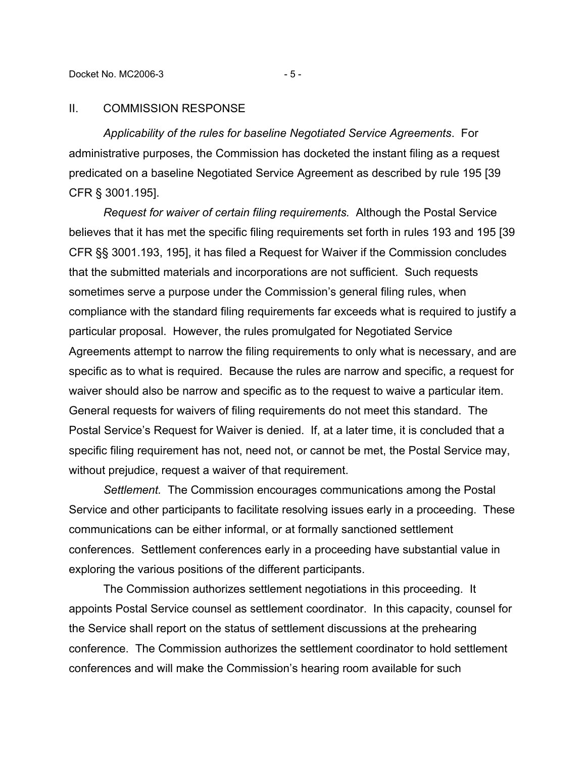## II. COMMISSION RESPONSE

*Applicability of the rules for baseline Negotiated Service Agreements*. For administrative purposes, the Commission has docketed the instant filing as a request predicated on a baseline Negotiated Service Agreement as described by rule 195 [39 CFR § 3001.195].

*Request for waiver of certain filing requirements.* Although the Postal Service believes that it has met the specific filing requirements set forth in rules 193 and 195 [39 CFR §§ 3001.193, 195], it has filed a Request for Waiver if the Commission concludes that the submitted materials and incorporations are not sufficient. Such requests sometimes serve a purpose under the Commission's general filing rules, when compliance with the standard filing requirements far exceeds what is required to justify a particular proposal. However, the rules promulgated for Negotiated Service Agreements attempt to narrow the filing requirements to only what is necessary, and are specific as to what is required. Because the rules are narrow and specific, a request for waiver should also be narrow and specific as to the request to waive a particular item. General requests for waivers of filing requirements do not meet this standard. The Postal Service's Request for Waiver is denied. If, at a later time, it is concluded that a specific filing requirement has not, need not, or cannot be met, the Postal Service may, without prejudice, request a waiver of that requirement.

*Settlement.* The Commission encourages communications among the Postal Service and other participants to facilitate resolving issues early in a proceeding. These communications can be either informal, or at formally sanctioned settlement conferences. Settlement conferences early in a proceeding have substantial value in exploring the various positions of the different participants.

The Commission authorizes settlement negotiations in this proceeding. It appoints Postal Service counsel as settlement coordinator. In this capacity, counsel for the Service shall report on the status of settlement discussions at the prehearing conference. The Commission authorizes the settlement coordinator to hold settlement conferences and will make the Commission's hearing room available for such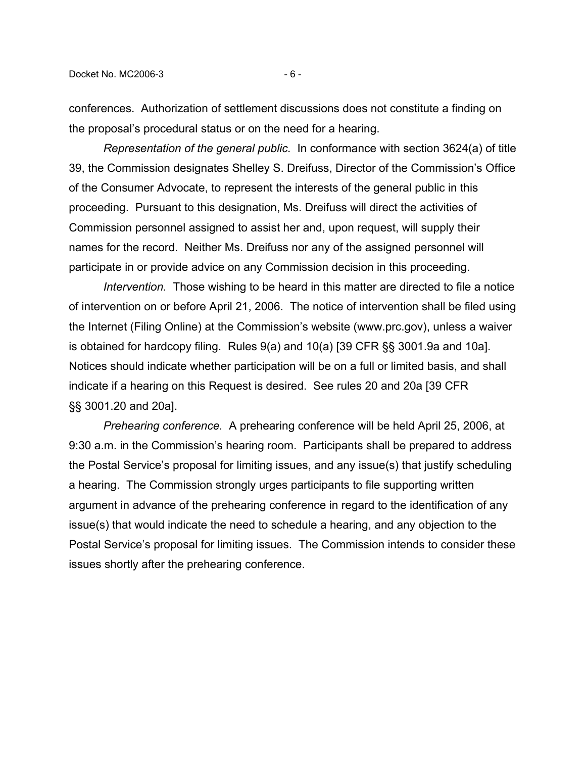conferences. Authorization of settlement discussions does not constitute a finding on the proposal's procedural status or on the need for a hearing.

*Representation of the general public.* In conformance with section 3624(a) of title 39, the Commission designates Shelley S. Dreifuss, Director of the Commission's Office of the Consumer Advocate, to represent the interests of the general public in this proceeding. Pursuant to this designation, Ms. Dreifuss will direct the activities of Commission personnel assigned to assist her and, upon request, will supply their names for the record. Neither Ms. Dreifuss nor any of the assigned personnel will participate in or provide advice on any Commission decision in this proceeding.

*Intervention.* Those wishing to be heard in this matter are directed to file a notice of intervention on or before April 21, 2006. The notice of intervention shall be filed using the Internet (Filing Online) at the Commission's website (www.prc.gov), unless a waiver is obtained for hardcopy filing. Rules 9(a) and 10(a) [39 CFR §§ 3001.9a and 10a]. Notices should indicate whether participation will be on a full or limited basis, and shall indicate if a hearing on this Request is desired. See rules 20 and 20a [39 CFR §§ 3001.20 and 20a].

*Prehearing conference.* A prehearing conference will be held April 25, 2006, at 9:30 a.m. in the Commission's hearing room. Participants shall be prepared to address the Postal Service's proposal for limiting issues, and any issue(s) that justify scheduling a hearing. The Commission strongly urges participants to file supporting written argument in advance of the prehearing conference in regard to the identification of any issue(s) that would indicate the need to schedule a hearing, and any objection to the Postal Service's proposal for limiting issues. The Commission intends to consider these issues shortly after the prehearing conference.